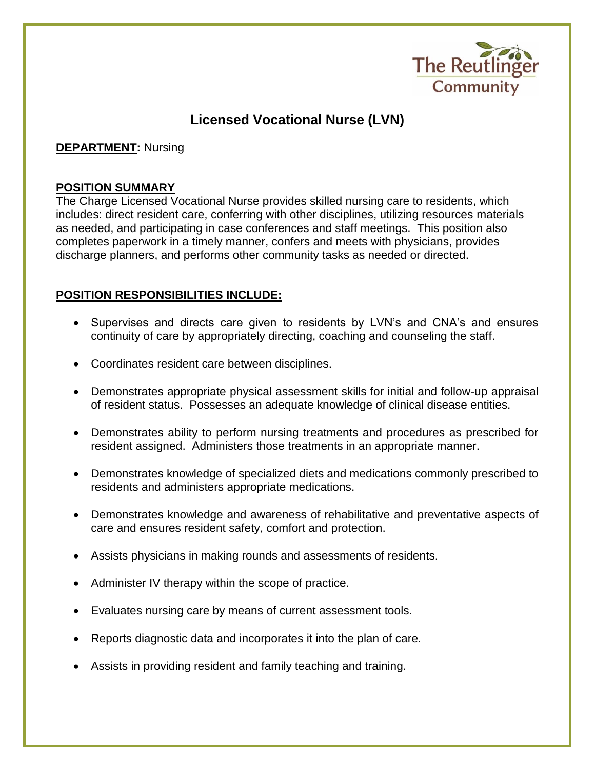

# **Licensed Vocational Nurse (LVN)**

**DEPARTMENT:** Nursing

### **POSITION SUMMARY**

The Charge Licensed Vocational Nurse provides skilled nursing care to residents, which includes: direct resident care, conferring with other disciplines, utilizing resources materials as needed, and participating in case conferences and staff meetings. This position also completes paperwork in a timely manner, confers and meets with physicians, provides discharge planners, and performs other community tasks as needed or directed.

## **POSITION RESPONSIBILITIES INCLUDE:**

- Supervises and directs care given to residents by LVN's and CNA's and ensures continuity of care by appropriately directing, coaching and counseling the staff.
- Coordinates resident care between disciplines.
- Demonstrates appropriate physical assessment skills for initial and follow-up appraisal of resident status. Possesses an adequate knowledge of clinical disease entities.
- Demonstrates ability to perform nursing treatments and procedures as prescribed for resident assigned. Administers those treatments in an appropriate manner.
- Demonstrates knowledge of specialized diets and medications commonly prescribed to residents and administers appropriate medications.
- Demonstrates knowledge and awareness of rehabilitative and preventative aspects of care and ensures resident safety, comfort and protection.
- Assists physicians in making rounds and assessments of residents.
- Administer IV therapy within the scope of practice.
- Evaluates nursing care by means of current assessment tools.
- Reports diagnostic data and incorporates it into the plan of care.
- Assists in providing resident and family teaching and training.